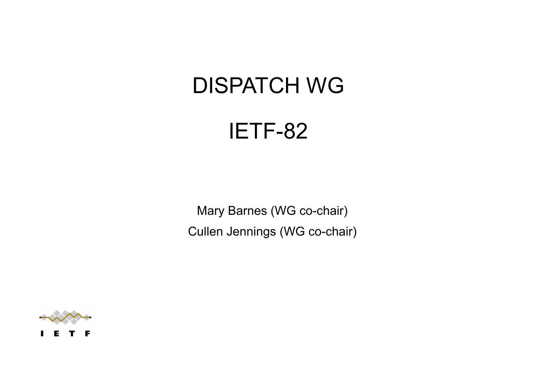### DISPATCH WG

### IETF-82

Mary Barnes (WG co-chair) Cullen Jennings (WG co-chair)

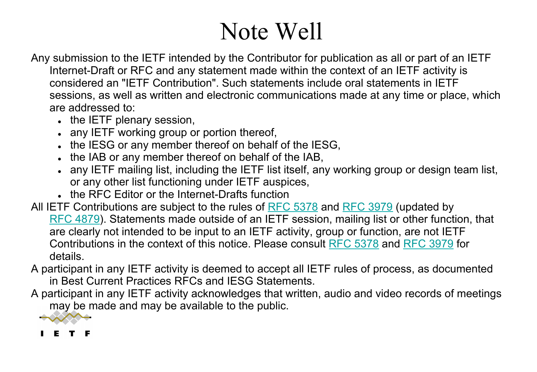## Note Well

- Any submission to the IETF intended by the Contributor for publication as all or part of an IETF Internet-Draft or RFC and any statement made within the context of an IETF activity is considered an "IETF Contribution". Such statements include oral statements in IETF sessions, as well as written and electronic communications made at any time or place, which are addressed to:
	- . the IETF plenary session,
	- . any IETF working group or portion thereof,
	- . the IESG or any member thereof on behalf of the IESG,
	- . the IAB or any member thereof on behalf of the IAB,
	- any IETF mailing list, including the IETF list itself, any working group or design team list, or any other list functioning under IETF auspices,
	- . the RFC Editor or the Internet-Drafts function
- All IETF Contributions are subject to the rules of RFC 5378 and RFC 3979 (updated by RFC 4879). Statements made outside of an IETF session, mailing list or other function, that are clearly not intended to be input to an IETF activity, group or function, are not IETF Contributions in the context of this notice. Please consult RFC 5378 and RFC 3979 for details.
- A participant in any IETF activity is deemed to accept all IETF rules of process, as documented in Best Current Practices RFCs and IESG Statements.
- A participant in any IETF activity acknowledges that written, audio and video records of meetings may be made and may be available to the public.



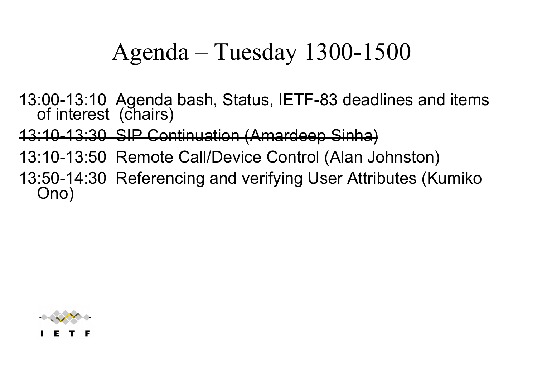## Agenda – Tuesday 1300-1500

13:00-13:10 Agenda bash, Status, IETF-83 deadlines and items of interest (chairs)

13:10-13:30 SIP Continuation (Amardeep Sinha)

13:10-13:50 Remote Call/Device Control (Alan Johnston)

13:50-14:30 Referencing and verifying User Attributes (Kumiko Ono)

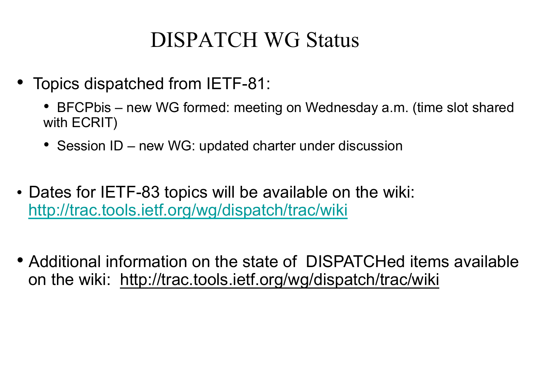### DISPATCH WG Status

- Topics dispatched from IETF-81:
	- BFCPbis new WG formed: meeting on Wednesday a.m. (time slot shared with ECRIT)
	- Session ID new WG: updated charter under discussion
- Dates for IETF-83 topics will be available on the wiki: http://trac.tools.ietf.org/wg/dispatch/trac/wiki
- Additional information on the state of DISPATCHed items available on the wiki: http://trac.tools.ietf.org/wg/dispatch/trac/wiki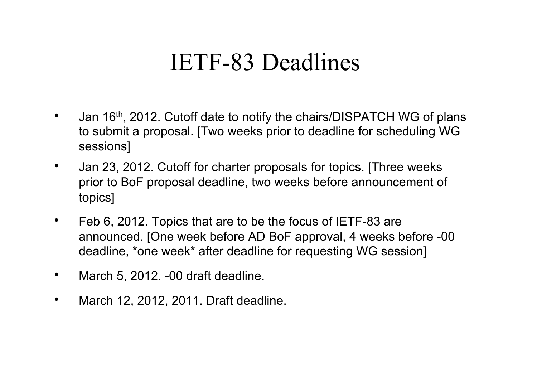## IETF-83 Deadlines

- Jan 16<sup>th</sup>, 2012. Cutoff date to notify the chairs/DISPATCH WG of plans to submit a proposal. [Two weeks prior to deadline for scheduling WG sessions]
- Jan 23, 2012. Cutoff for charter proposals for topics. [Three weeks] prior to BoF proposal deadline, two weeks before announcement of topics]
- Feb 6, 2012. Topics that are to be the focus of IETF-83 are announced. [One week before AD BoF approval, 4 weeks before -00 deadline, \*one week\* after deadline for requesting WG session]
- March 5, 2012. -00 draft deadline.
- March 12, 2012, 2011. Draft deadline.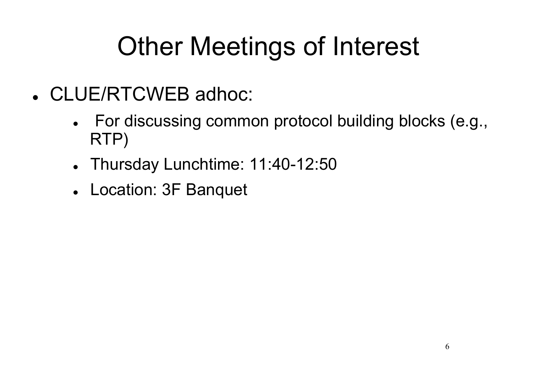# Other Meetings of Interest

- ! CLUE/RTCWEB adhoc:
	- . For discussing common protocol building blocks (e.g., RTP)
	- Thursday Lunchtime: 11:40-12:50
	- ! Location: 3F Banquet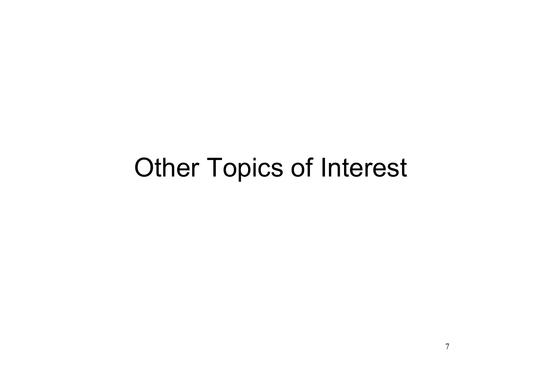## Other Topics of Interest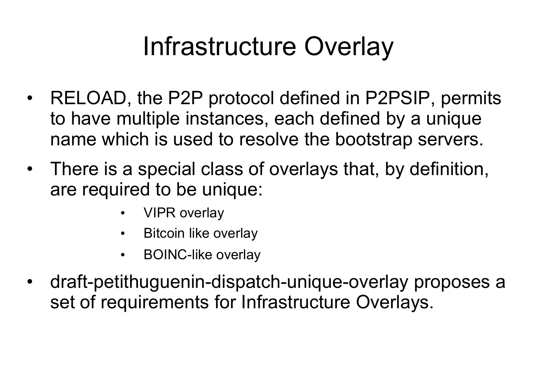## Infrastructure Overlay

- RELOAD, the P2P protocol defined in P2PSIP, permits to have multiple instances, each defined by a unique name which is used to resolve the bootstrap servers.
- There is a special class of overlays that, by definition, are required to be unique:
	- VIPR overlay
	- Bitcoin like overlay
	- BOINC-like overlay
- draft-petithuguenin-dispatch-unique-overlay proposes a set of requirements for Infrastructure Overlays.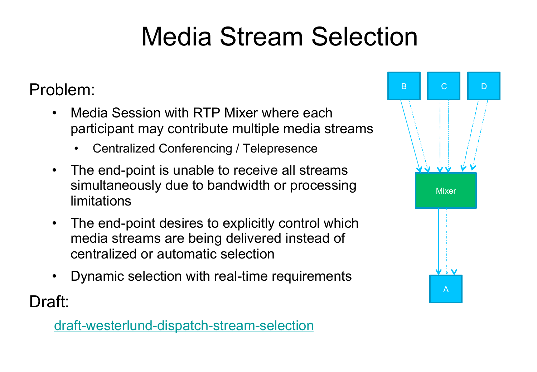# Media Stream Selection

#### Problem:

- Media Session with RTP Mixer where each participant may contribute multiple media streams
	- Centralized Conferencing / Telepresence
- The end-point is unable to receive all streams simultaneously due to bandwidth or processing limitations
- The end-point desires to explicitly control which media streams are being delivered instead of centralized or automatic selection
- Dynamic selection with real-time requirements

Draft:

draft-westerlund-dispatch-stream-selection

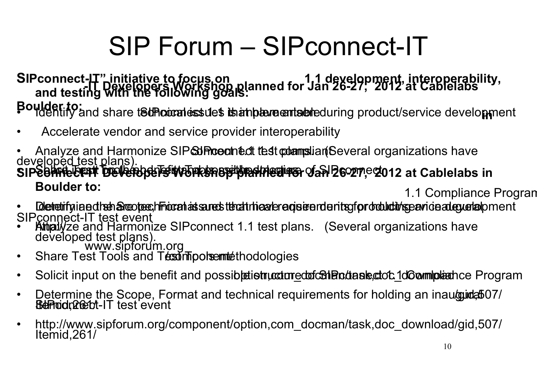# SIP Forum – SIPconnect-IT

#### SIPconnect-IT" initiative to focus on **1.1 development, interoperability,**<br>and tosting **R848 (RRGCA) NOTKShop planned for Jan 26-27, 2012 at Cablelabs and testing with the following goals:**

Poulder to:<br>Pouldentify and share t**sthoicralessues is an pleure antable**during product/service development

- Accelerate vendor and service provider interoperability
- Analyze and Harmonize SIP**ed Procented test comma**liant Several organizations have developed test plans). SIPCOMMECTELY DEVERBOUT TO NEW TEST TO DEVELOP AND POSSIBLE STRUCTURE STRUCTURE STRUCTURE STRUCTURE STRUCTURE **Boulder to: Boulder to: 1.1 Compliance Program**
- Detetifyiaed rehateoree, Fricant as sures technical requirements for ordulativs parional cyurlal pment
- SIPconnect-IT test event<br>• Amalyze and Harmonize SIPconnect 1.1 test plans. (Several organizations have www.sipforum.org developed test plans).
- Share Test Tools and Testim political methodologies
- Solicit input on the benefit and possible tient under contrasters also also allow movement of Program is contained program in Solicit input on the benefit and possible is intuitived and also also allow movement.
- Determine the Scope, Format and technical requirements for holding an inauguid,507/ **Bernal Connect Connect Connect**<br>**Bernal Connect Connect Connect Connect Connect Connect Connect Connect Connect Connect Connect Connect**
- **Benddrect**-IT test event<br>http://www.sipforum.org/c • http://www.sipforum.org/component/option,com\_docman/task,doc\_download/gid,507/ Itemid,261/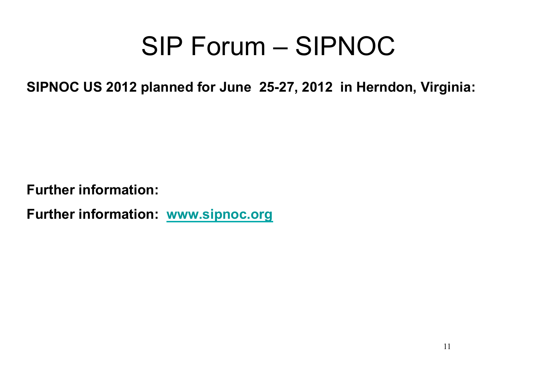## SIP Forum – SIPNOC

**SIPNOC US 2012 planned for June 25-27, 2012 in Herndon, Virginia:** 

**Further information:** 

**Further information: www.sipnoc.org**